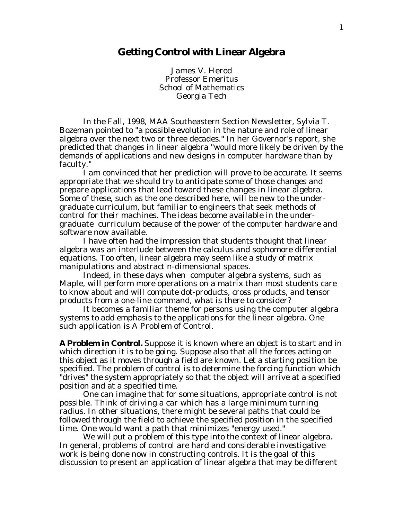## **Getting Control with Linear Algebra**

James V. Herod Professor Emeritus School of Mathematics Georgia Tech

In the Fall, 1998, MAA Southeastern Section Newsletter, Sylvia T. Bozeman pointed to "a possible evolution in the nature and role of linear algebra over the next two or three decades." In her Governor's report, she predicted that changes in linear algebra "would more likely be driven by the demands of applications and new designs in computer hardware than by faculty."

I am convinced that her prediction will prove to be accurate. It seems appropriate that we should try to anticipate some of those changes and prepare applications that lead toward these changes in linear algebra. Some of these, such as the one described here, will be new to the undergraduate curriculum, but familiar to engineers that seek methods of control for their machines. The ideas become available in the undergraduate curriculum because of the power of the computer hardware and software now available.

I have often had the impression that students thought that linear algebra was an interlude between the calculus and sophomore differential equations. Too often, linear algebra may seem like a study of matrix manipulations and abstract n-dimensional spaces.

Indeed, in these days when computer algebra systems, such as Maple, will perform more operations on a matrix than most students care to know about and will compute dot-products, cross products, and tensor products from a one-line command, what is there to consider?

It becomes a familiar theme for persons using the computer algebra systems to add emphasis to the applications for the linear algebra. One such application is A Problem of Control.

**A Problem in Control.** Suppose it is known where an object is to start and in which direction it is to be going. Suppose also that all the forces acting on this object as it moves through a field are known. Let a starting position be specified. The problem of control is to determine the forcing function which "drives" the system appropriately so that the object will arrive at a specified position and at a specified time.

One can imagine that for some situations, appropriate control is not possible. Think of driving a car which has a large minimum turning radius. In other situations, there might be several paths that could be followed through the field to achieve the specified position in the specified time. One would want a path that minimizes "energy used."

We will put a problem of this type into the context of linear algebra. In general, problems of control are hard and considerable investigative work is being done now in constructing controls. It is the goal of this discussion to present an application of linear algebra that may be different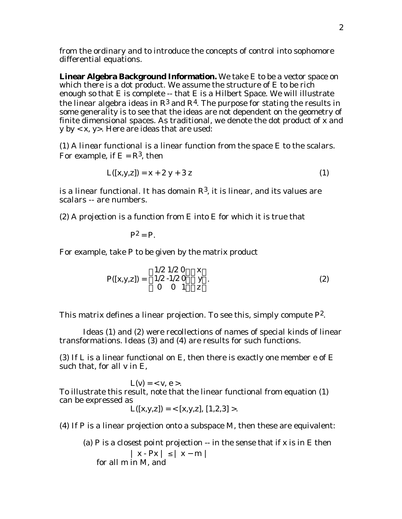from the ordinary and to introduce the concepts of control into sophomore differential equations.

**Linear Algebra Background Information.** We take E to be a vector space on which there is a dot product. We assume the structure of E to be rich enough so that E is complete -- that E is a Hilbert Space. We will illustrate the linear algebra ideas in  $\mathbb{R}^3$  and  $\mathbb{R}^4$ . The purpose for stating the results in some generality is to see that the ideas are not dependent on the geometry of finite dimensional spaces. As traditional, we denote the dot product of x and y by < x, y>. Here are ideas that are used:

(1) A *linear functional* is a linear function from the space E to the scalars. For example, if  $E = R<sup>3</sup>$ , then

$$
L([x,y,z]) = x + 2y + 3z \tag{1}
$$

is a linear functional. It has domain  $R<sup>3</sup>$ , it is linear, and its values are scalars -- are numbers.

(2) A *projection* is a function from E into E for which it is true that

$$
\mathbf{P}^2=\mathbf{P}.
$$

For example, take P to be given by the matrix product

$$
P([x,y,z]) = \begin{array}{ccc} 1/2 & 1/2 & 0 & x \\ 1/2 & -1/2 & 0 & y \\ 0 & 0 & 1 & z \end{array} . \tag{2}
$$

This matrix defines a linear projection. To see this, simply compute  $P^2$ .

Ideas (1) and (2) were recollections of names of special kinds of linear transformations. Ideas (3) and (4) are results for such functions.

(3) If L is a linear functional on E, then there is exactly one member e of E such that, for all v in E,

 $L(v) = \langle v, e \rangle$ . To illustrate this result, note that the linear functional from equation (1) can be expressed as

$$
L([x,y,z]) = \langle [x,y,z], [1,2,3] \rangle.
$$

(4) If P is a linear projection onto a subspace M, then these are equivalent:

(a) P is a *closest point projection* -- in the sense that if x is in E then 
$$
|x - Px|
$$
 and  $|x - m|$  for all m in M, and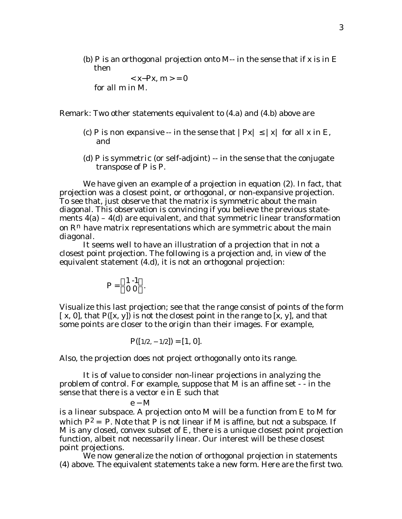(b) P is an *orthogonal projection* onto M-- in the sense that if x is in E then

 $< x-Px, m>= 0$ for all m in M.

Remark: Two other statements equivalent to (4.a) and (4.b) above are

- (c) P is *non expansive* -- in the sense that  $|Px|$  | x| for all x in E, and
- (d) P is *symmetric* (or self-adjoint) -- in the sense that the conjugate transpose of P is P.

We have given an example of a projection in equation (2). In fact, that projection was a closest point, or orthogonal, or non-expansive projection. To see that, just observe that the matrix is symmetric about the main diagonal. This observation is convincing if you believe the previous statements  $4(a) - 4(d)$  are equivalent, and that symmetric linear transformation on  $\mathbb{R}^n$  have matrix representations which are symmetric about the main diagonal.

It seems well to have an illustration of a projection that in not a closest point projection. The following is a projection and, in view of the equivalent statement (4.d), it is not an orthogonal projection:

$$
P = \begin{array}{cc} 1-1 \\ 0 0 \end{array}.
$$

Visualize this last projection; see that the range consist of points of the form  $[x, 0]$ , that  $P([x, y])$  is not the closest point in the range to  $[x, y]$ , and that some points are closer to the origin than their images. For example,

$$
P([1/2, -1/2]) = [1, 0].
$$

Also, the projection does not project orthogonally onto its range.

It is of value to consider non-linear projections in analyzing the problem of control. For example, suppose that M is an affine set - - in the sense that there is a vector e in E such that

$$
\mathbf{e} - \mathbf{M}
$$

is a linear subspace. A projection onto M will be a function from E to M for which  $P^2 = P$ . Note that P is not linear if M is affine, but not a subspace. If M is any closed, convex subset of E, there is a unique closest point projection function, albeit not necessarily linear. Our interest will be these closest point projections.

We now generalize the notion of orthogonal projection in statements (4) above. The equivalent statements take a new form. Here are the first two.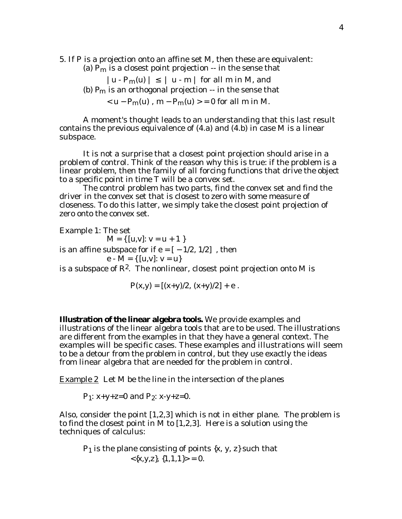5. If P is a projection onto an affine set M, then these are equivalent:

- (a)  $P_m$  is a closest point projection  $-$  in the sense that
	- $|u P_m(u)|$   $|u m|$  for all m in M, and
- (b)  $P_m$  is an orthogonal projection  $-$  in the sense that

 $<$  u – P<sub>m</sub>(u), m – P<sub>m</sub>(u)  $>$  = 0 for all m in M.

A moment's thought leads to an understanding that this last result contains the previous equivalence of (4.a) and (4.b) in case M is a linear subspace.

It is not a surprise that a closest point projection should arise in a problem of control. Think of the reason why this is true: if the problem is a linear problem, then the family of all forcing functions that *drive* the object to a specific point in time T will be a *convex set*.

The control problem has two parts, find the convex set and find the driver in the convex set that is closest to zero with some measure of closeness. To do this latter, we simply take the closest point projection of zero onto the convex set.

Example 1: The set  $M = \{ [u,v]: v = u + 1 \}$ is an affine subspace for if  $e = [-1/2, 1/2]$ , then

e - M = {  $[u,v]: v = u$ }

is a subspace of  $\mathbb{R}^2$ . The nonlinear, closest point projection onto M is

$$
P(x,y) = [(x+y)/2, (x+y)/2] + e.
$$

**Illustration of the linear algebra tools.** We provide examples and illustrations of the linear algebra tools that are to be used. The illustrations are different from the examples in that they have a general context. The examples will be specific cases. These examples and illustrations will seem to be a detour from the problem in control, but they use exactly the ideas from linear algebra that are needed for the problem in control.

Example 2 Let M be the line in the intersection of the planes

 $P_1$ : x+y+z=0 and  $P_2$ : x-y+z=0.

Also, consider the point [1,2,3] which is not in either plane. The problem is to find the closest point in M to [1,2,3]. Here is a solution using the techniques of calculus:

 $P_1$  is the plane consisting of points  $\{x, y, z\}$  such that  $\langle x,y,z \rangle, \{1,1,1\} \rangle = 0.$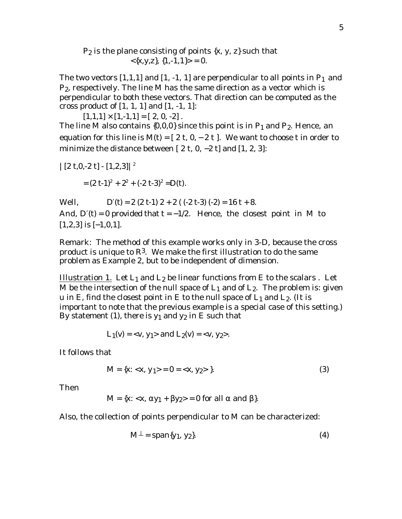## $P_2$  is the plane consisting of points  $\{x, y, z\}$  such that  $\langle x,y,z \rangle$ ,  $\{1,-1,1\} > = 0$ .

The two vectors  $[1,1,1]$  and  $[1,-1,1]$  are perpendicular to all points in  $P_1$  and P2, respectively. The line M has the same direction as a vector which is perpendicular to both these vectors. That direction can be computed as the cross product of [1, 1, 1] and [1, -1, 1]:

 $[1,1,1] \times [1,-1,1] = [2, 0,-2]$ . The line M also contains  $\{0,0,0\}$  since this point is in  $P_1$  and  $P_2$ . Hence, an equation for this line is  $M(t) = [2 t, 0, -2 t]$ . We want to choose t in order to minimize the distance between  $[2 \t{t, 0, -2 t}]$  and  $[1, 2, 3]$ :

$$
|\left[2 t, 0, -2 t\right] - \left[1, 2, 3\right]|^2
$$
  
=  $(2 t - 1)^2 + 2^2 + (-2 t - 3)^2 = D(t)$ .

Well,  $D (t) = 2 (2 t-1) 2 + 2 ((-2 t-3) (-2) = 16 t + 8.$ And, D (t) = 0 provided that  $t = -1/2$ . Hence, the closest point in M to  $[1,2,3]$  is  $[-1,0,1]$ .

Remark: The method of this example works only in 3-D, because the cross product is unique to  $\mathbb{R}^3$ . We make the first illustration to do the same problem as Example 2, but to be independent of dimension.

Illustration 1. Let  $L_1$  and  $L_2$  be linear functions from E to the scalars . Let M be the intersection of the null space of  $L_1$  and of  $L_2$ . The problem is: given u in E, find the closest point in E to the null space of  $L_1$  and  $L_2$ . (It is important to note that the previous example is a special case of this setting.) By statement (1), there is  $y_1$  and  $y_2$  in E such that

$$
L_1(v) = \langle v, y_1 \rangle \text{ and } L_2(v) = \langle v, y_2 \rangle.
$$

It follows that

$$
M = \{x: \langle x, y_1 \rangle = 0 = \langle x, y_2 \rangle\}.
$$
 (3)

Then

$$
M = \{x: \langle x, y_1 + y_2 \rangle = 0 \text{ for all } \text{ and } \}.
$$

Also, the collection of points perpendicular to M can be characterized:

$$
M = span\{y_1, y_2\}.
$$
 (4)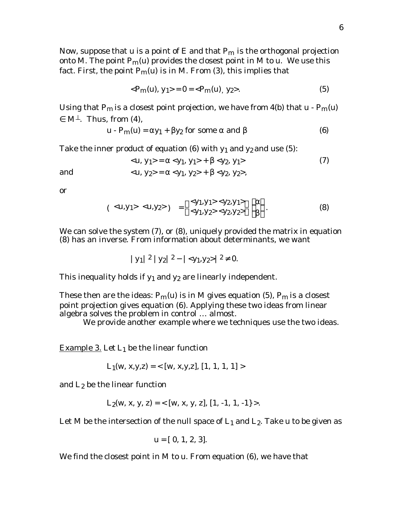Now, suppose that u is a point of E and that  $P_m$  is the orthogonal projection onto M. The point  $P_m(u)$  provides the closest point in M to u. We use this fact. First, the point  $P_m(u)$  is in M. From (3), this implies that

$$
\langle P_m(u), y_1 \rangle = 0 = \langle P_m(u), y_2 \rangle. \tag{5}
$$

Using that P<sub>m</sub> is a closest point projection, we have from 4(b) that  $u - P_m(u)$ 

M . Thus, from (4),

$$
\mathbf{u} \cdot \mathbf{P_m(u)} = \mathbf{y_1} + \mathbf{y_2} \text{ for some } \text{ and } (6)
$$

Take the inner product of equation (6) with  $y_1$  and  $y_2$  and use (5):

and   

$$
\langle u, y_1 \rangle = \langle y_1, y_1 \rangle + \langle y_2, y_1 \rangle
$$
 (7)  
 $\langle u, y_2 \rangle = \langle y_1, y_2 \rangle + \langle y_2, y_2 \rangle,$ 

or

$$
(\langle u, y_1 \rangle \langle u, y_2 \rangle) = \langle y_1, y_1 \rangle \langle y_2, y_1 \rangle
$$
  

$$
\langle y_1, y_2 \rangle \langle y_2, y_2 \rangle
$$
 (8)

We can solve the system (7), or (8), uniquely provided the matrix in equation (8) has an inverse. From information about determinants, we want

$$
|y_1|^2 |y_2|^2 - |\langle y_1, y_2 \rangle|^2 \quad 0.
$$

This inequality holds if  $y_1$  and  $y_2$  are linearly independent.

These then are the ideas:  $P_m(u)$  is in M gives equation (5),  $P_m$  is a closest point projection gives equation (6). Applying these two ideas from linear algebra solves the problem in control … almost.

We provide another example where we techniques use the two ideas.

Example 3. Let  $L_1$  be the linear function

$$
L_1(w, x, y, z) = \langle [w, x, y, z], [1, 1, 1, 1] \rangle
$$

and  $L_2$  be the linear function

$$
L_2(w, x, y, z) = \langle [w, x, y, z], [1, -1, 1, -1] \rangle.
$$

Let M be the intersection of the null space of  $L_1$  and  $L_2$ . Take u to be given as

$$
u = [0, 1, 2, 3].
$$

We find the closest point in M to u. From equation (6), we have that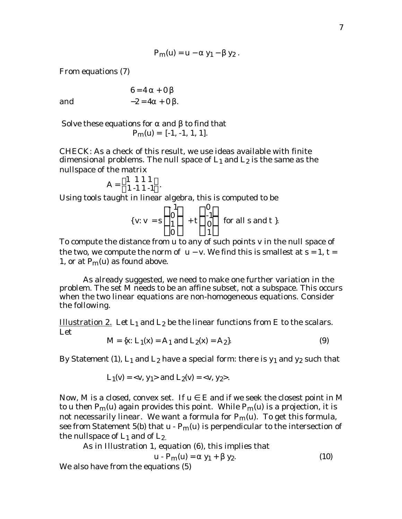$$
P_m(u) = u - y_1 - y_2.
$$

From equations (7)

and

$$
6 = 4 + 0
$$
  
-2 = 4 + 0

 Solve these equations for and to find that  $P_m(u) = [-1, -1, 1, 1].$ 

CHECK: As a check of this result, we use ideas available with finite dimensional problems. The null space of  $L_1$  and  $L_2$  is the same as the nullspace of the matrix

$$
A = \begin{array}{rrr} 1 & 1 & 1 & 1 \\ 1 & -1 & 1 & -1 \end{array}.
$$

Using tools taught in linear algebra, this is computed to be

{
$$
v: v = s
$$
  $\begin{matrix} -1 & 0 \\ 0 & +t & -1 \\ 0 & 1 \end{matrix}$  for all s and t}.

To compute the distance from u to any of such points v in the null space of the two, we compute the norm of u – v. We find this is smallest at  $s = 1$ ,  $t =$ 1, or at  $P_m(u)$  as found above.

As already suggested, we need to make one further variation in the problem. The set M needs to be an affine subset, not a subspace. This occurs when the two linear equations are non-homogeneous equations. Consider the following.

Illustration 2. Let  $L_1$  and  $L_2$  be the linear functions from E to the scalars. Let

$$
M = \{x: L_1(x) = A_1 \text{ and } L_2(x) = A_2\}.
$$
 (9)

By Statement (1),  $L_1$  and  $L_2$  have a special form: there is  $y_1$  and  $y_2$  such that

$$
L_1(v) = \langle v, y_1 \rangle
$$
 and  $L_2(v) = \langle v, y_2 \rangle$ .

Now, M is a closed, convex set. If u E and if we seek the closest point in M to u then  $P_m(u)$  again provides this point. While  $P_m(u)$  is a projection, it is not necessarily linear. We want a formula for  $P_m(u)$ . To get this formula, see from Statement 5(b) that  $u - P_m(u)$  is perpendicular to the intersection of the nullspace of  $L_1$  and of  $L_2$ .

As in Illustration 1, equation (6), this implies that

$$
\mathbf{u} - \mathbf{P}_{\mathbf{m}}(\mathbf{u}) = \mathbf{y}_1 + \mathbf{y}_2. \tag{10}
$$

We also have from the equations (5)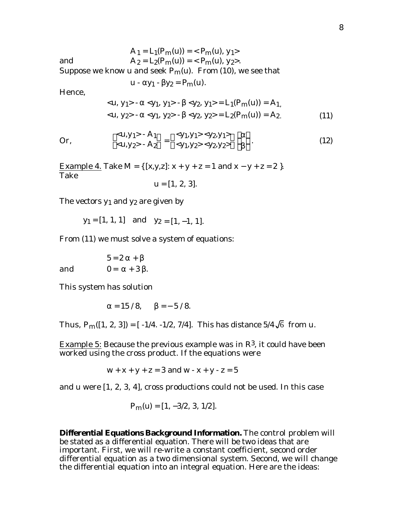and 
$$
A_1 = L_1(P_m(u)) = \langle P_m(u), y_1 \rangle
$$
  
\n $A_2 = L_2(P_m(u)) = \langle P_m(u), y_2 \rangle.$ 

Suppose we know u and seek  $P_m(u)$ . From (10), we see that

 $u - y_1 - y_2 = P_m(u)$ .

Hence,

$$
\langle u, y_1 \rangle - \langle y_1, y_1 \rangle - \langle y_2, y_1 \rangle = L_1(P_m(u)) = A_1,\langle u, y_2 \rangle - \langle y_1, y_2 \rangle - \langle y_2, y_2 \rangle = L_2(P_m(u)) = A_2.
$$
\n(11)

Or, 
$$
\langle u, y_1 \rangle - A_1 = \langle y_1, y_1 \rangle \langle y_2, y_1 \rangle
$$
  
 $\langle u, y_2 \rangle - A_2 = \langle y_1, y_2 \rangle \langle y_2, y_2 \rangle$  (12)

Example 4. Take M = {  $[x,y,z]$ :  $x + y + z = 1$  and  $x - y + z = 2$  }. Take

$$
u = [1, 2, 3].
$$

The vectors  $y_1$  and  $y_2$  are given by

 $y_1 = [1, 1, 1]$  and  $y_2 = [1, -1, 1].$ 

From (11) we must solve a system of equations:

 $5 = 2 +$ and  $0 = +3$ .

This system has solution

$$
= 15 / 8
$$
,  $= -5 / 8$ .

Thus,  $P_m([1, 2, 3]) = [-1/4, -1/2, 7/4]$ . This has distance  $5/4\sqrt{6}$  from u.

**Example 5:** Because the previous example was in  $\mathbb{R}^3$ , it could have been worked using the cross product. If the equations were

$$
w + x + y + z = 3
$$
 and  $w - x + y - z = 5$ 

and u were [1, 2, 3, 4], cross productions could not be used. In this case

$$
P_m(u) = [1, -3/2, 3, 1/2].
$$

**Differential Equations Background Information.** The control problem will be stated as a differential equation. There will be two ideas that are important. First, we will re-write a constant coefficient, second order differential equation as a two dimensional system. Second, we will change the differential equation into an integral equation. Here are the ideas: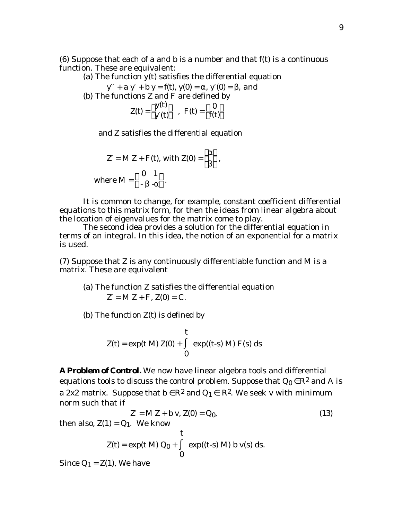(6) Suppose that each of a and b is a number and that f(t) is a continuous function. These are equivalent:

(a) The function  $y(t)$  satisfies the differential equation

 $y + a y + b y = f(t), y(0) = , y(0) = , and$ (b) The functions Z and F are defined by

$$
Z(t) = \begin{array}{cc} y(t) \\ y(t) \end{array}, \quad F(t) = \begin{array}{cc} 0 \\ f(t) \end{array}
$$

and Z satisfies the differential equation

$$
Z = M Z + F(t), \text{ with } Z(0) = \quad ,
$$
  
where  $M = \begin{bmatrix} 0 & 1 \\ 1 & 1 \end{bmatrix}$ 

It is common to change, for example, constant coefficient differential equations to this matrix form, for then the ideas from linear algebra about the location of eigenvalues for the matrix come to play.

The second idea provides a solution for the differential equation in terms of an integral. In this idea, the notion of an exponential for a matrix is used.

(7) Suppose that Z is any continuously differentiable function and M is a matrix. These are equivalent

(a) The function Z satisfies the differential equation  $Z = M Z + F$ ,  $Z(0) = C$ .

(b) The function  $Z(t)$  is defined by

$$
z(t) = exp(t M) Z(0) + \frac{exp((t-s) M) F(s) ds}{0}
$$

**A Problem of Control.** We now have linear algebra tools and differential equations tools to discuss the control problem. Suppose that  $Q_0$   $\mathbb{R}^2$  and A is a 2x2 matrix. Suppose that  $\mathbf{b} = \mathbf{R}^2$  and  $\mathbf{Q}_1 = \mathbf{R}^2$ . We seek v with minimum norm such that if

$$
Z = M Z + b v, Z(0) = Q_0,
$$
  
then also,  $Z(1) = Q_1$ . We know  

$$
Z(t) = exp(t M) Q_0 + exp((t-s) M) b v(s) ds.
$$

Since  $Q_1 = Z(1)$ , We have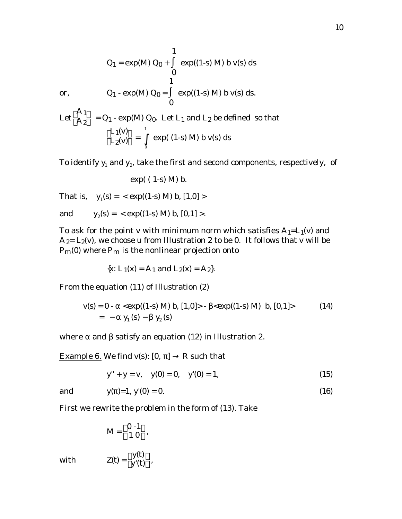or,  
\n
$$
Q_1 - \exp(M) Q_0 = \exp((1-s) M) b v(s) ds.
$$
\n
$$
Q_1 - \exp(M) Q_0.
$$
\nLet  $L_1$  and  $L_2$  be defined so that  
\n
$$
L_1(v) = \frac{L_1(v)}{L_2(v)} = \frac{1}{e} \exp((1-s) M) b v(s) ds
$$

0

1

To identify  $\mathbf{y}_{\text{1}}$  and  $\mathbf{y}_{\text{2}}$ , take the first and second components, respectively,  $\,$  of

 $exp((1-s) M) b v(s) ds$ 

exp( ( 1-s) M) b.

That is,  $y_1(s) = \exp((1-s) M) b$ ,  $[1,0] >$ 

 $Q_1 = exp(M) Q_0 +$ 

and  $y_2(s) = \exp((1-s) M) b, [0,1] >.$ 

To ask for the point v with minimum norm which satisfies  $A_1=L_1(v)$  and  $A_2= L_2(v)$ , we choose u from Illustration 2 to be 0. It follows that v will be  $P_m(0)$  where  $P_m$  is the nonlinear projection onto

{x: 
$$
L_1(x) = A_1
$$
 and  $L_2(x) = A_2$  }.

From the equation (11) of Illustration (2)

$$
\mathbf{v}(\mathbf{s}) = \mathbf{0} - \langle \exp((1-\mathbf{s}) \mathbf{M}) \mathbf{b}, [1,0] \rangle - \langle \exp((1-\mathbf{s}) \mathbf{M}) \mathbf{b}, [0,1] \rangle \tag{14}
$$
  
= - y<sub>1</sub> (s) - y<sub>2</sub> (s)

where and satisfy an equation (12) in Illustration 2.

Example 6. We find  $v(s)$ :  $[0, ]$  R such that

$$
y'' + y = v, \quad y(0) = 0, \quad y'(0) = 1,
$$
 (15)

and 
$$
y( )=1, y'(0) = 0.
$$
 (16)

First we rewrite the problem in the form of (13). Take

$$
M = \begin{array}{cc} 0.1 \\ 1.0 \end{array}
$$

with  $Z(t) = \frac{y(t)}{y'(t)}$ ,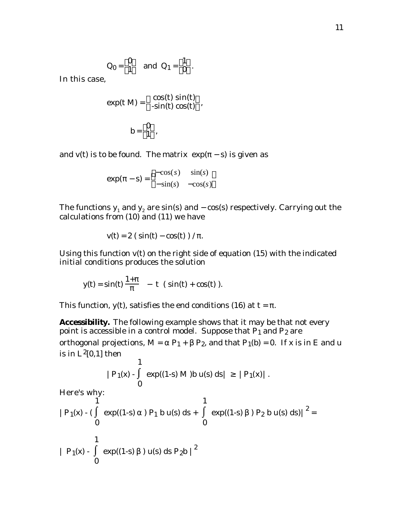$$
Q_0 = \begin{bmatrix} 0 \\ 1 \end{bmatrix}
$$
 and  $Q_1 = \begin{bmatrix} 1 \\ 0 \end{bmatrix}$ .

In this case,

$$
\exp(t M) = \frac{\cos(t) \sin(t)}{-\sin(t) \cos(t)},
$$
  

$$
b = \frac{0}{1},
$$

and v(t) is to be found. The matrix  $exp(-s)$  is given as

$$
\exp(-s) = \begin{cases}\n-\cos(s) & \sin(s) \\
-\sin(s) & -\cos(s)\n\end{cases}
$$

The functions  $\mathbf{y}_\text{1}$  and  $\mathbf{y}_\text{2}$  are sin(s) and – cos(s) respectively. Carrying out the calculations from (10) and (11) we have

$$
v(t) = 2 \left( \sin(t) - \cos(t) \right) / .
$$

Using this function v(t) on the right side of equation (15) with the indicated initial conditions produces the solution

$$
y(t) = \sin(t) \frac{1+}{t} - t (\sin(t) + \cos(t)).
$$

This function,  $y(t)$ , satisfies the end conditions (16) at  $t = 1$ .

**Accessibility.** The following example shows that it may be that not every point is accessible in a control model. Suppose that  $P_1$  and  $P_2$  are orthogonal projections,  $M = P_1 + P_2$ , and that  $P_1(b) = 0$ . If x is in E and u is in  $L^2[0,1]$  then

$$
|P_1(x) - \cosh(1-s) M) b u(s) ds | |P_1(x) |.
$$

Here's why:

$$
|P_1(x) - (\exp((1-s)) P_1 b u(s) ds + \exp((1-s)) P_2 b u(s) ds)|^{2} = 0
$$
  
1  
1  
1  
1  
1  
0  
1  
0  
1  
0